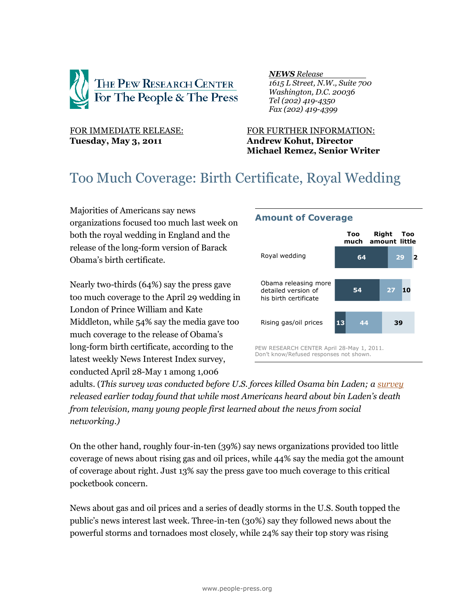

#### *NEWS Release .*

 *1615 L Street, N.W., Suite 700 Washington, D.C. 20036 Tel (202) 419-4350 Fax (202) 419-4399*

# **Tuesday, May 3, 2011 Andrew Kohut, Director**

## FOR IMMEDIATE RELEASE: FOR FURTHER INFORMATION: **Michael Remez, Senior Writer**

**Amount of Coverage** 

## Too Much Coverage: Birth Certificate, Royal Wedding

Majorities of Americans say news organizations focused too much last week on both the royal wedding in England and the release of the long-form version of Barack Obama's birth certificate.

Nearly two-thirds (64%) say the press gave too much coverage to the April 29 wedding in London of Prince William and Kate Middleton, while 54% say the media gave too much coverage to the release of Obama's long-form birth certificate, according to the latest weekly News Interest Index survey, conducted April 28-May 1 among 1,006

#### **64 54 13 29 27 44 2 10 39 Too Right** amount little **Too much** Rising gas/oil prices Royal wedding Obama releasing more detailed version of his birth certificate PEW RESEARCH CENTER April 28-May 1, 2011. Don't know/Refused responses not shown.

adults. (*This survey was conducted before U.S. forces killed Osama bin Laden; a [survey](http://people-press.org/2011/05/03/public-relieved-by-bin-ladens-death-obamas-job-approval-rises/) released earlier today found that while most Americans heard about bin Laden's death from television, many young people first learned about the news from social networking.)*

On the other hand, roughly four-in-ten (39%) say news organizations provided too little coverage of news about rising gas and oil prices, while 44% say the media got the amount of coverage about right. Just 13% say the press gave too much coverage to this critical pocketbook concern.

News about gas and oil prices and a series of deadly storms in the U.S. South topped the public's news interest last week. Three-in-ten (30%) say they followed news about the powerful storms and tornadoes most closely, while 24% say their top story was rising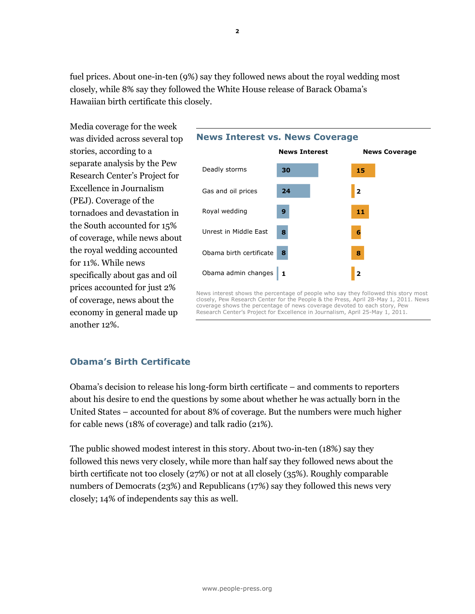fuel prices. About one-in-ten (9%) say they followed news about the royal wedding most closely, while 8% say they followed the White House release of Barack Obama's Hawaiian birth certificate this closely.

Media coverage for the week was divided across several top stories, according to a separate analysis by the Pew Research Center's Project for Excellence in Journalism (PEJ). Coverage of the tornadoes and devastation in the South accounted for 15% of coverage, while news about the royal wedding accounted for 11%. While news specifically about gas and oil prices accounted for just 2% of coverage, news about the economy in general made up another 12%.



News interest shows the percentage of people who say they followed this story most closely, Pew Research Center for the People & the Press, April 28-May 1, 2011. News coverage shows the percentage of news coverage devoted to each story, Pew Research Center's Project for Excellence in Journalism, April 25-May 1, 2011.

## **Obama's Birth Certificate**

Obama's decision to release his long-form birth certificate – and comments to reporters about his desire to end the questions by some about whether he was actually born in the United States – accounted for about 8% of coverage. But the numbers were much higher for cable news (18% of coverage) and talk radio (21%).

The public showed modest interest in this story. About two-in-ten (18%) say they followed this news very closely, while more than half say they followed news about the birth certificate not too closely (27%) or not at all closely (35%). Roughly comparable numbers of Democrats (23%) and Republicans (17%) say they followed this news very closely; 14% of independents say this as well.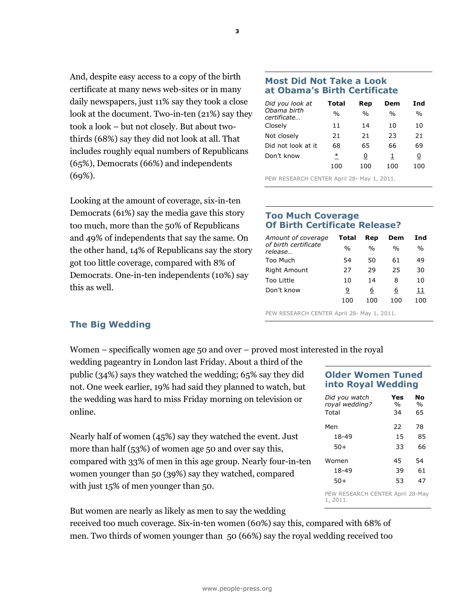And, despite easy access to a copy of the birth certificate at many news web-sites or in many daily newspapers, just 11% say they took a close look at the document. Two-in-ten (21%) say they took a look – but not closely. But about twothirds (68%) say they did not look at all. That includes roughly equal numbers of Republicans (65%), Democrats (66%) and independents (69%).

Looking at the amount of coverage, six-in-ten Democrats (61%) say the media gave this story too much, more than the 50% of Republicans and 49% of independents that say the same. On the other hand, 14% of Republicans say the story got too little coverage, compared with 8% of Democrats. One-in-ten independents (10%) say this as well.

## **Most Did Not Take a Look at Obama's Birth Certificate**

| Did you look at            | Total | Rep           | Dem           | Ind           |
|----------------------------|-------|---------------|---------------|---------------|
| Ohama hirth<br>certificate | $\%$  | $\frac{0}{0}$ | $\frac{0}{0}$ | $\frac{0}{0}$ |
| Closely                    | 11    | 14            | 10            | 10            |
| Not closely                | 21    | 21            | 23            | 21            |
| Did not look at it         | 68    | 65            | 66            | 69            |
| Don't know                 | ∗     | 0             | 1             | 0             |
|                            | 100   | 100           | 100           | 100           |

PEW RESEARCH CENTER April 28- May 1, 2011.

## **Too Much Coverage Of Birth Certificate Release?**

| Amount of coverage              | Total         | Rep           | Dem | Ind           |
|---------------------------------|---------------|---------------|-----|---------------|
| of birth certificate<br>release | $\frac{0}{0}$ | $\frac{0}{0}$ | %   | $\frac{0}{0}$ |
| Too Much                        | 54            | 50            | 61  | 49            |
| <b>Right Amount</b>             | 27            | 29            | 25  | 30            |
| Too Little                      | 10            | 14            | 8   | 10            |
| Don't know                      | 9             | 6             | 6   | 11            |
|                                 | 100           | 100           | 100 | 100           |

PEW RESEARCH CENTER April 28- May 1, 2011.

## **The Big Wedding**

Women – specifically women age 50 and over – proved most interested in the royal

wedding pageantry in London last Friday. About a third of the public (34%) says they watched the wedding; 65% say they did not. One week earlier, 19% had said they planned to watch, but the wedding was hard to miss Friday morning on television or online.

Nearly half of women (45%) say they watched the event. Just more than half (53%) of women age 50 and over say this, compared with 33% of men in this age group. Nearly four-in-ten women younger than 50 (39%) say they watched, compared with just 15% of men younger than 50.

But women are nearly as likely as men to say the wedding

received too much coverage. Six-in-ten women (60%) say this, compared with 68% of men. Two thirds of women younger than 50 (66%) say the royal wedding received too

## **Older Women Tuned into Royal Wedding**

| Did you watch<br>royal wedding?<br>Total | Yes<br>%<br>34 | No<br>$\frac{0}{0}$<br>65 |
|------------------------------------------|----------------|---------------------------|
| Men                                      | フフ             | 78                        |
| 18-49                                    | 15             | 85                        |
| $50+$                                    | 33             | 66                        |
| Women                                    | 45             | 54                        |
| 18-49                                    | 39             | 61                        |
| 50+                                      | 53             | 47                        |
|                                          |                |                           |

PEW RESEARCH CENTER April 28-May 1, 2011.

**3**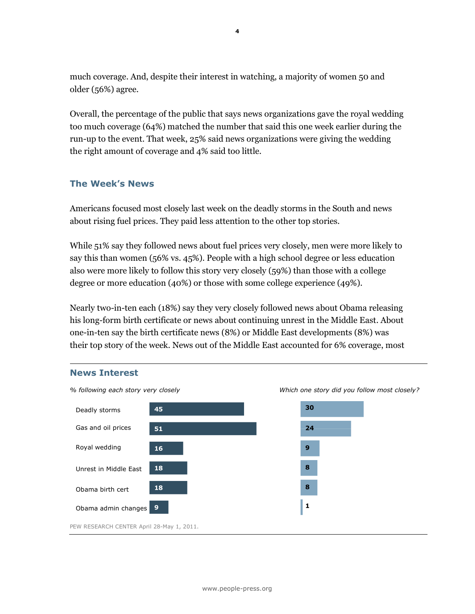much coverage. And, despite their interest in watching, a majority of women 50 and older (56%) agree.

Overall, the percentage of the public that says news organizations gave the royal wedding too much coverage (64%) matched the number that said this one week earlier during the run-up to the event. That week, 25% said news organizations were giving the wedding the right amount of coverage and 4% said too little.

## **The Week's News**

Americans focused most closely last week on the deadly storms in the South and news about rising fuel prices. They paid less attention to the other top stories.

While 51% say they followed news about fuel prices very closely, men were more likely to say this than women (56% vs. 45%). People with a high school degree or less education also were more likely to follow this story very closely (59%) than those with a college degree or more education (40%) or those with some college experience (49%).

Nearly two-in-ten each (18%) say they very closely followed news about Obama releasing his long-form birth certificate or news about continuing unrest in the Middle East. About one-in-ten say the birth certificate news (8%) or Middle East developments (8%) was their top story of the week. News out of the Middle East accounted for 6% coverage, most

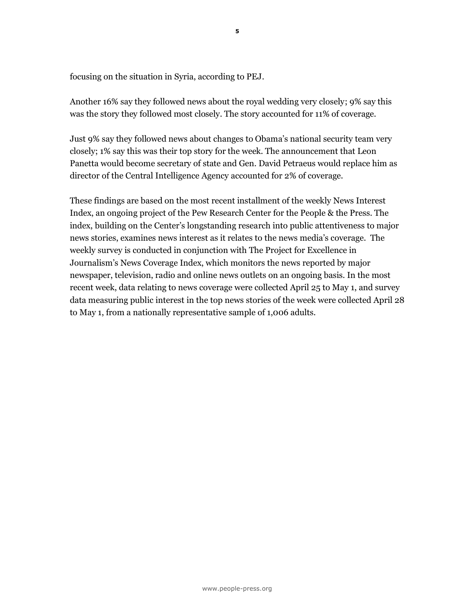focusing on the situation in Syria, according to PEJ.

Another 16% say they followed news about the royal wedding very closely; 9% say this was the story they followed most closely. The story accounted for 11% of coverage.

Just 9% say they followed news about changes to Obama's national security team very closely; 1% say this was their top story for the week. The announcement that Leon Panetta would become secretary of state and Gen. David Petraeus would replace him as director of the Central Intelligence Agency accounted for 2% of coverage.

These findings are based on the most recent installment of the weekly News Interest Index, an ongoing project of the Pew Research Center for the People & the Press. The index, building on the Center's longstanding research into public attentiveness to major news stories, examines news interest as it relates to the news media's coverage. The weekly survey is conducted in conjunction with The Project for Excellence in Journalism's News Coverage Index, which monitors the news reported by major newspaper, television, radio and online news outlets on an ongoing basis. In the most recent week, data relating to news coverage were collected April 25 to May 1, and survey data measuring public interest in the top news stories of the week were collected April 28 to May 1, from a nationally representative sample of 1,006 adults.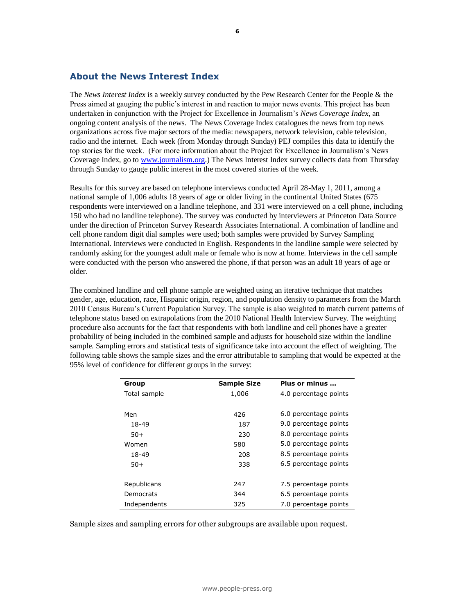## **About the News Interest Index**

The *News Interest Index* is a weekly survey conducted by the Pew Research Center for the People & the Press aimed at gauging the public's interest in and reaction to major news events. This project has been undertaken in conjunction with the Project for Excellence in Journalism's *News Coverage Index*, an ongoing content analysis of the news. The News Coverage Index catalogues the news from top news organizations across five major sectors of the media: newspapers, network television, cable television, radio and the internet. Each week (from Monday through Sunday) PEJ compiles this data to identify the top stories for the week. (For more information about the Project for Excellence in Journalism's News Coverage Index, go t[o www.journalism.org.](http://www.journalism.org/)) The News Interest Index survey collects data from Thursday through Sunday to gauge public interest in the most covered stories of the week.

Results for this survey are based on telephone interviews conducted April 28-May 1, 2011, among a national sample of 1,006 adults 18 years of age or older living in the continental United States (675 respondents were interviewed on a landline telephone, and 331 were interviewed on a cell phone, including 150 who had no landline telephone). The survey was conducted by interviewers at Princeton Data Source under the direction of Princeton Survey Research Associates International. A combination of landline and cell phone random digit dial samples were used; both samples were provided by Survey Sampling International. Interviews were conducted in English. Respondents in the landline sample were selected by randomly asking for the youngest adult male or female who is now at home. Interviews in the cell sample were conducted with the person who answered the phone, if that person was an adult 18 years of age or older.

The combined landline and cell phone sample are weighted using an iterative technique that matches gender, age, education, race, Hispanic origin, region, and population density to parameters from the March 2010 Census Bureau's Current Population Survey. The sample is also weighted to match current patterns of telephone status based on extrapolations from the 2010 National Health Interview Survey. The weighting procedure also accounts for the fact that respondents with both landline and cell phones have a greater probability of being included in the combined sample and adjusts for household size within the landline sample. Sampling errors and statistical tests of significance take into account the effect of weighting. The following table shows the sample sizes and the error attributable to sampling that would be expected at the 95% level of confidence for different groups in the survey:

| Group        | <b>Sample Size</b> | Plus or minus         |
|--------------|--------------------|-----------------------|
| Total sample | 1,006              | 4.0 percentage points |
|              |                    |                       |
| Men          | 426                | 6.0 percentage points |
| 18-49        | 187                | 9.0 percentage points |
| $50+$        | 230                | 8.0 percentage points |
| Women        | 580                | 5.0 percentage points |
| 18-49        | 208                | 8.5 percentage points |
| $50+$        | 338                | 6.5 percentage points |
|              |                    |                       |
| Republicans  | 247                | 7.5 percentage points |
| Democrats    | 344                | 6.5 percentage points |
| Independents | 325                | 7.0 percentage points |

Sample sizes and sampling errors for other subgroups are available upon request.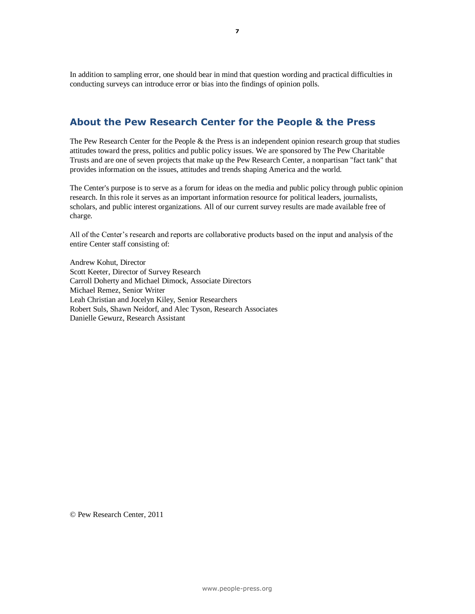In addition to sampling error, one should bear in mind that question wording and practical difficulties in conducting surveys can introduce error or bias into the findings of opinion polls.

## **About the Pew Research Center for the People & the Press**

The Pew Research Center for the People & the Press is an independent opinion research group that studies attitudes toward the press, politics and public policy issues. We are sponsored by The Pew Charitable Trusts and are one of seven projects that make up the Pew Research Center, a nonpartisan "fact tank" that provides information on the issues, attitudes and trends shaping America and the world.

The Center's purpose is to serve as a forum for ideas on the media and public policy through public opinion research. In this role it serves as an important information resource for political leaders, journalists, scholars, and public interest organizations. All of our current survey results are made available free of charge.

All of the Center's research and reports are collaborative products based on the input and analysis of the entire Center staff consisting of:

Andrew Kohut, Director Scott Keeter, Director of Survey Research Carroll Doherty and Michael Dimock, Associate Directors Michael Remez, Senior Writer Leah Christian and Jocelyn Kiley, Senior Researchers Robert Suls, Shawn Neidorf, and Alec Tyson, Research Associates Danielle Gewurz, Research Assistant

© Pew Research Center, 2011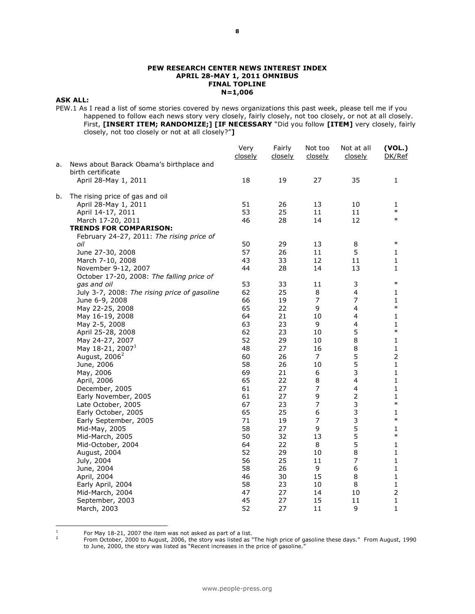#### **PEW RESEARCH CENTER NEWS INTEREST INDEX APRIL 28-MAY 1, 2011 OMNIBUS FINAL TOPLINE N=1,006**

#### **ASK ALL:**

PEW.1 As I read a list of some stories covered by news organizations this past week, please tell me if you happened to follow each news story very closely, fairly closely, not too closely, or not at all closely. First, **[INSERT ITEM; RANDOMIZE;] [IF NECESSARY** "Did you follow **[ITEM]** very closely, fairly closely, not too closely or not at all closely?"**]**

|    |                                                               | Very<br>closely | Fairly<br>closely | Not too<br>closely | Not at all<br>closely    | (VOL.)<br>DK/Ref |
|----|---------------------------------------------------------------|-----------------|-------------------|--------------------|--------------------------|------------------|
| a. | News about Barack Obama's birthplace and<br>birth certificate |                 |                   |                    |                          |                  |
|    | April 28-May 1, 2011                                          | 18              | 19                | 27                 | 35                       | 1                |
| b. | The rising price of gas and oil                               |                 |                   |                    |                          |                  |
|    | April 28-May 1, 2011                                          | 51              | 26                | 13                 | 10                       | 1                |
|    | April 14-17, 2011                                             | 53              | 25                | 11                 | 11                       | $\ast$           |
|    | March 17-20, 2011                                             | 46              | 28                | 14                 | 12                       | $\ast$           |
|    | <b>TRENDS FOR COMPARISON:</b>                                 |                 |                   |                    |                          |                  |
|    | February 24-27, 2011: The rising price of                     |                 |                   |                    |                          |                  |
|    | oil                                                           | 50              | 29                | 13                 | 8                        | $\ast$           |
|    | June 27-30, 2008                                              | 57              | 26                | 11                 | 5                        | 1                |
|    | March 7-10, 2008                                              | 43              | 33                | 12                 | 11                       | 1                |
|    | November 9-12, 2007                                           | 44              | 28                | 14                 | 13                       | 1                |
|    | October 17-20, 2008: The falling price of                     |                 |                   |                    |                          |                  |
|    |                                                               | 53              | 33                | 11                 | 3                        | $\ast$           |
|    | gas and oil                                                   | 62              | 25                | 8                  | 4                        | 1                |
|    | July 3-7, 2008: The rising price of gasoline                  |                 |                   | $\overline{7}$     | $\overline{7}$           |                  |
|    | June 6-9, 2008                                                | 66<br>65        | 19                |                    |                          | 1<br>$\ast$      |
|    | May 22-25, 2008                                               |                 | 22                | 9                  | $\overline{\mathcal{L}}$ |                  |
|    | May 16-19, 2008                                               | 64              | 21                | 10                 | $\overline{\mathcal{L}}$ | 1                |
|    | May 2-5, 2008                                                 | 63              | 23                | 9                  | 4                        | 1<br>$\ast$      |
|    | April 25-28, 2008                                             | 62              | 23                | 10                 | 5                        |                  |
|    | May 24-27, 2007                                               | 52              | 29                | 10                 | $\,8\,$                  | 1                |
|    | May 18-21, 2007 <sup>1</sup>                                  | 48              | 27                | 16                 | $\,8\,$                  | 1                |
|    | August, 2006 <sup>2</sup>                                     | 60              | 26                | 7                  | 5                        | $\overline{2}$   |
|    | June, 2006                                                    | 58              | 26                | 10                 | 5                        | 1                |
|    | May, 2006                                                     | 69              | 21                | 6                  | 3                        | 1                |
|    | April, 2006                                                   | 65              | 22                | 8                  | 4                        | 1                |
|    | December, 2005                                                | 61              | 27                | 7                  | $\overline{\mathbf{4}}$  | 1                |
|    | Early November, 2005                                          | 61              | 27                | 9                  | $\overline{2}$           | 1                |
|    | Late October, 2005                                            | 67              | 23                | $\overline{7}$     | 3                        | $\ast$           |
|    | Early October, 2005                                           | 65              | 25                | 6                  | 3                        | 1                |
|    | Early September, 2005                                         | 71              | 19                | $\overline{7}$     | 3                        | $\ast$           |
|    | Mid-May, 2005                                                 | 58              | 27                | 9                  | 5                        | 1                |
|    | Mid-March, 2005                                               | 50              | 32                | 13                 | 5                        | $\ast$           |
|    | Mid-October, 2004                                             | 64              | 22                | 8                  | 5                        | 1                |
|    | August, 2004                                                  | 52              | 29                | 10                 | 8                        | 1                |
|    | July, 2004                                                    | 56              | 25                | 11                 | $\overline{7}$           | $\mathbf{1}$     |
|    | June, 2004                                                    | 58              | 26                | 9                  | 6                        | 1                |
|    | April, 2004                                                   | 46              | 30                | 15                 | 8                        | 1                |
|    | Early April, 2004                                             | 58              | 23                | 10                 | 8                        | 1                |
|    | Mid-March, 2004                                               | 47              | 27                | 14                 | 10                       | $\overline{2}$   |
|    | September, 2003                                               | 45              | 27                | 15                 | 11                       | 1                |
|    | March, 2003                                                   | 52              | 27                | 11                 | 9                        | 1                |
|    |                                                               |                 |                   |                    |                          |                  |

 $\frac{1}{1}$ For May 18-21, 2007 the item was not asked as part of a list. 2

From October, 2000 to August, 2006, the story was listed as "The high price of gasoline these days." From August, 1990 to June, 2000, the story was listed as "Recent increases in the price of gasoline."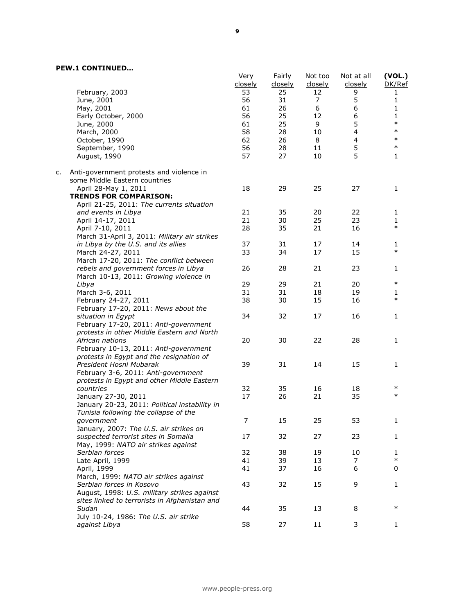#### **PEW.1 CONTINUED…**

|    |                                               | Very<br>closely | Fairly<br>closely | Not too<br>closely | Not at all<br>closely | (VOL.)<br>DK/Ref |
|----|-----------------------------------------------|-----------------|-------------------|--------------------|-----------------------|------------------|
|    | February, 2003                                | 53              | 25                | 12                 | 9                     | 1                |
|    | June, 2001                                    | 56              | 31                | 7                  | 5                     | 1                |
|    | May, 2001                                     | 61              | 26                | 6                  | 6                     | 1                |
|    | Early October, 2000                           | 56              | 25                | 12                 | 6                     | 1                |
|    | June, 2000                                    | 61              | 25                | 9                  | 5                     | $\ast$           |
|    | March, 2000                                   | 58              | 28                | 10                 | $\overline{4}$        | $\ast$           |
|    | October, 1990                                 | 62              | 26                | 8                  | 4                     | $\ast$           |
|    | September, 1990                               | 56              | 28                | 11                 | 5                     | $\ast$           |
|    | August, 1990                                  | 57              | 27                | 10                 | 5                     | 1                |
| c. | Anti-government protests and violence in      |                 |                   |                    |                       |                  |
|    | some Middle Eastern countries                 |                 |                   |                    |                       |                  |
|    | April 28-May 1, 2011                          | 18              | 29                | 25                 | 27                    | 1                |
|    | <b>TRENDS FOR COMPARISON:</b>                 |                 |                   |                    |                       |                  |
|    | April 21-25, 2011: The currents situation     |                 |                   |                    |                       |                  |
|    | and events in Libya                           | 21              | 35                | 20                 | 22                    | 1                |
|    | April 14-17, 2011                             | 21              | 30                | 25                 | 23                    | 1                |
|    | April 7-10, 2011                              | 28              | 35                | 21                 | 16                    | $\ast$           |
|    | March 31-April 3, 2011: Military air strikes  |                 |                   |                    |                       |                  |
|    | in Libya by the U.S. and its allies           | 37              | 31                | 17                 | 14                    | 1                |
|    | March 24-27, 2011                             | 33              | 34                | 17                 | 15                    | $\ast$           |
|    | March 17-20, 2011: The conflict between       |                 |                   |                    |                       |                  |
|    | rebels and government forces in Libya         | 26              | 28                | 21                 | 23                    | 1                |
|    |                                               |                 |                   |                    |                       |                  |
|    | March 10-13, 2011: Growing violence in        |                 |                   |                    |                       | $\ast$           |
|    | Libya                                         | 29              | 29                | 21                 | 20                    |                  |
|    | March 3-6, 2011                               | 31              | 31                | 18                 | 19                    | 1                |
|    | February 24-27, 2011                          | 38              | 30                | 15                 | 16                    | $\ast$           |
|    | February 17-20, 2011: News about the          |                 |                   |                    |                       |                  |
|    | situation in Egypt                            | 34              | 32                | 17                 | 16                    | 1                |
|    | February 17-20, 2011: Anti-government         |                 |                   |                    |                       |                  |
|    | protests in other Middle Eastern and North    |                 |                   |                    |                       |                  |
|    | African nations                               | 20              | 30                | 22                 | 28                    | 1                |
|    | February 10-13, 2011: Anti-government         |                 |                   |                    |                       |                  |
|    | protests in Egypt and the resignation of      |                 |                   |                    |                       |                  |
|    | President Hosni Mubarak                       | 39              | 31                | 14                 | 15                    | 1                |
|    | February 3-6, 2011: Anti-government           |                 |                   |                    |                       |                  |
|    | protests in Egypt and other Middle Eastern    |                 |                   |                    |                       |                  |
|    |                                               | 32              |                   |                    |                       | $\ast$           |
|    | countries                                     |                 | 35                | 16                 | 18                    | $\ast$           |
|    | January 27-30, 2011                           | 17              | 26                | 21                 | 35                    |                  |
|    | January 20-23, 2011: Political instability in |                 |                   |                    |                       |                  |
|    | Tunisia following the collapse of the         |                 |                   |                    |                       |                  |
|    | government                                    | 7               | 15                | 25                 | 53                    |                  |
|    | January, 2007: The U.S. air strikes on        |                 |                   |                    |                       |                  |
|    | suspected terrorist sites in Somalia          | 17              | 32                | 27                 | 23                    | 1                |
|    | May, 1999: NATO air strikes against           |                 |                   |                    |                       |                  |
|    | Serbian forces                                | 32              | 38                | 19                 | 10                    | 1                |
|    | Late April, 1999                              | 41              | 39                | 13                 | 7                     | $\ast$           |
|    | April, 1999                                   | 41              | 37                | 16                 | 6                     | 0                |
|    | March, 1999: NATO air strikes against         |                 |                   |                    |                       |                  |
|    | Serbian forces in Kosovo                      | 43              | 32                | 15                 | 9                     | 1                |
|    | August, 1998: U.S. military strikes against   |                 |                   |                    |                       |                  |
|    | sites linked to terrorists in Afghanistan and |                 |                   |                    |                       |                  |
|    |                                               |                 |                   |                    |                       | $\ast$           |
|    | Sudan                                         | 44              | 35                | 13                 | 8                     |                  |
|    | July 10-24, 1986: The U.S. air strike         |                 |                   |                    |                       |                  |
|    | against Libya                                 | 58              | 27                | 11                 | 3                     | 1                |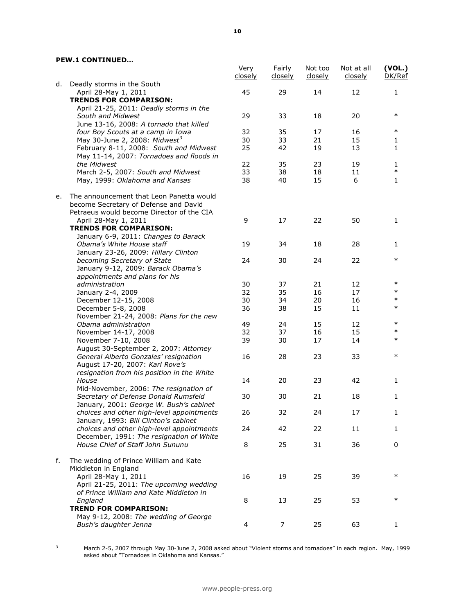#### **PEW.1 CONTINUED…**

|    |                                                                                                                                | Very<br>closely | Fairly<br>closely | Not too<br>closely | Not at all<br>closely | (VOL.)<br>DK/Ref |
|----|--------------------------------------------------------------------------------------------------------------------------------|-----------------|-------------------|--------------------|-----------------------|------------------|
| d. | Deadly storms in the South<br>April 28-May 1, 2011                                                                             | 45              | 29                | 14                 | 12                    | $\mathbf{1}$     |
|    | <b>TRENDS FOR COMPARISON:</b>                                                                                                  |                 |                   |                    |                       |                  |
|    | April 21-25, 2011: Deadly storms in the                                                                                        |                 |                   |                    |                       |                  |
|    | South and Midwest                                                                                                              | 29              | 33                | 18                 | 20                    | $\ast$           |
|    | June 13-16, 2008: A tornado that killed                                                                                        |                 |                   |                    |                       |                  |
|    | four Boy Scouts at a camp in Iowa                                                                                              | 32              | 35                | 17                 | 16                    | $\ast$           |
|    | May 30-June 2, 2008: Midwest <sup>3</sup>                                                                                      | 30              | 33                | 21                 | 15                    | 1                |
|    | February 8-11, 2008: South and Midwest                                                                                         | 25              | 42                | 19                 | 13                    | $\mathbf{1}$     |
|    | May 11-14, 2007: Tornadoes and floods in<br>the Midwest                                                                        | 22              | 35                | 23                 | 19                    |                  |
|    | March 2-5, 2007: South and Midwest                                                                                             | 33              | 38                | 18                 | 11                    | 1<br>$\ast$      |
|    | May, 1999: Oklahoma and Kansas                                                                                                 | 38              | 40                | 15                 | 6                     | $\mathbf{1}$     |
| e. | The announcement that Leon Panetta would<br>become Secretary of Defense and David<br>Petraeus would become Director of the CIA |                 |                   |                    |                       |                  |
|    | April 28-May 1, 2011<br><b>TRENDS FOR COMPARISON:</b>                                                                          | 9               | 17                | 22                 | 50                    | $\mathbf{1}$     |
|    | January 6-9, 2011: Changes to Barack                                                                                           |                 |                   |                    |                       |                  |
|    | Obama's White House staff<br>January 23-26, 2009: Hillary Clinton                                                              | 19              | 34                | 18                 | 28                    | 1                |
|    | becoming Secretary of State                                                                                                    | 24              | 30                | 24                 | 22                    | $\ast$           |
|    | January 9-12, 2009: Barack Obama's                                                                                             |                 |                   |                    |                       |                  |
|    | appointments and plans for his                                                                                                 |                 |                   |                    |                       |                  |
|    | administration                                                                                                                 | 30              | 37                | 21                 | 12                    | $\ast$           |
|    | January 2-4, 2009                                                                                                              | 32              | 35                | 16                 | 17                    | $\ast$           |
|    | December 12-15, 2008                                                                                                           | 30              | 34                | 20                 | 16                    | $\ast$           |
|    | December 5-8, 2008                                                                                                             | 36              | 38                | 15                 | 11                    | $\ast$           |
|    | November 21-24, 2008: Plans for the new                                                                                        |                 |                   |                    |                       |                  |
|    | Obama administration                                                                                                           | 49              | 24                | 15                 | 12                    | $\ast$           |
|    | November 14-17, 2008                                                                                                           | 32              | 37                | 16                 | 15                    | $\ast$           |
|    | November 7-10, 2008                                                                                                            | 39              | 30                | 17                 | 14                    | $\ast$           |
|    | August 30-September 2, 2007: Attorney                                                                                          |                 |                   |                    |                       |                  |
|    | General Alberto Gonzales' resignation<br>August 17-20, 2007: Karl Rove's                                                       | 16              | 28                | 23                 | 33                    | $\ast$           |
|    | resignation from his position in the White                                                                                     |                 |                   |                    |                       |                  |
|    | House                                                                                                                          | 14              | 20                | 23                 | 42                    | 1                |
|    | Mid-November, 2006: The resignation of                                                                                         |                 |                   |                    |                       |                  |
|    | Secretary of Defense Donald Rumsfeld                                                                                           | 30              | 30                | 21                 | 18                    | $\mathbf{1}$     |
|    | January, 2001: George W. Bush's cabinet                                                                                        |                 |                   |                    |                       |                  |
|    | choices and other high-level appointments                                                                                      | 26              | 32                | 24                 | 17                    | 1                |
|    | January, 1993: Bill Clinton's cabinet<br>choices and other high-level appointments                                             | 24              | 42                | 22                 | $11\,$                | $\mathbf{1}$     |
|    | December, 1991: The resignation of White                                                                                       |                 |                   |                    |                       |                  |
|    | House Chief of Staff John Sununu                                                                                               | 8               | 25                | 31                 | 36                    | 0                |
| f. | The wedding of Prince William and Kate<br>Middleton in England                                                                 |                 |                   |                    |                       |                  |
|    | April 28-May 1, 2011                                                                                                           | 16              | 19                | 25                 | 39                    | $\ast$           |
|    | April 21-25, 2011: The upcoming wedding<br>of Prince William and Kate Middleton in                                             |                 |                   |                    |                       |                  |
|    | England                                                                                                                        | 8               | 13                | 25                 | 53                    | $\ast$           |
|    | <b>TREND FOR COMPARISON:</b>                                                                                                   |                 |                   |                    |                       |                  |
|    | May 9-12, 2008: The wedding of George                                                                                          |                 |                   |                    |                       |                  |
|    | Bush's daughter Jenna                                                                                                          | 4               | 7                 | 25                 | 63                    | 1                |

 $\overline{\mathbf{3}}$ 

 $3$  March 2-5, 2007 through May 30-June 2, 2008 asked about "Violent storms and tornadoes" in each region. May, 1999 asked about "Tornadoes in Oklahoma and Kansas."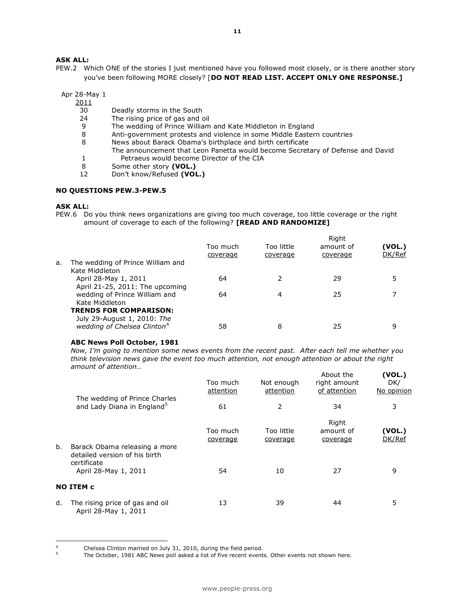#### **ASK ALL:**

PEW.2 Which ONE of the stories I just mentioned have you followed most closely, or is there another story you've been following MORE closely? [**DO NOT READ LIST. ACCEPT ONLY ONE RESPONSE.]** 

Apr 28-May 1

 $\frac{2011}{30}$ 

- Deadly storms in the South
- 24 The rising price of gas and oil
- 9 The wedding of Prince William and Kate Middleton in England
- 8 Anti-government protests and violence in some Middle Eastern countries
- 8 News about Barack Obama's birthplace and birth certificate The announcement that Leon Panetta would become Secretary of Defense and David
	-
- 1 Petraeus would become Director of the CIA<br>8 Some other story (VOL.)
- 8 Some other story **(VOL.)**<br>12 Don't know/Refused **(VOL** 12 Don't know/Refused **(VOL.)**

#### **NO QUESTIONS PEW.3-PEW.5**

#### **ASK ALL:**

PEW.6 Do you think news organizations are giving too much coverage, too little coverage or the right amount of coverage to each of the following? **[READ AND RANDOMIZE]**

|    |                                                              |                      |                        | Right                 |                  |
|----|--------------------------------------------------------------|----------------------|------------------------|-----------------------|------------------|
|    |                                                              | Too much<br>coverage | Too little<br>coverage | amount of<br>coverage | (VOL.)<br>DK/Ref |
| а. | The wedding of Prince William and<br>Kate Middleton          |                      |                        |                       |                  |
|    | April 28-May 1, 2011<br>April 21-25, 2011: The upcoming      | 64                   |                        | 29                    |                  |
|    | wedding of Prince William and<br>Kate Middleton              | 64                   | 4                      | 25                    |                  |
|    | <b>TRENDS FOR COMPARISON:</b><br>July 29-August 1, 2010: The |                      |                        |                       |                  |
|    | wedding of Chelsea Clinton <sup>4</sup>                      | 58                   | 8                      | 25                    | 9                |

#### **ABC News Poll October, 1981**

*Now, I'm going to mention some news events from the recent past. After each tell me whether you think television news gave the event too much attention, not enough attention or about the right amount of attention…*  **(VOL.)**

|    |                                                                         | Too much<br>attention | Not enough<br>attention | About the<br>right amount<br>of attention | (VOL.)<br>DK/<br>No opinion |
|----|-------------------------------------------------------------------------|-----------------------|-------------------------|-------------------------------------------|-----------------------------|
|    | The wedding of Prince Charles<br>and Lady Diana in England <sup>5</sup> | 61                    | 2                       | 34                                        | 3                           |
| b. | Barack Obama releasing a more                                           | Too much<br>coverage  | Too little<br>coverage  | Right<br>amount of<br>coverage            | (VOL.)<br>DK/Ref            |
|    | detailed version of his birth<br>certificate<br>April 28-May 1, 2011    | 54                    | 10                      | 27                                        | 9                           |
|    | <b>NO ITEM c</b>                                                        |                       |                         |                                           |                             |
| d. | The rising price of gas and oil<br>April 28-May 1, 2011                 | 13                    | 39                      | 44                                        | 5                           |

 $\overline{a}$ <sup>4</sup> Chelsea Clinton married on July 31, 2010, during the field period.

The October, 1981 ABC News poll asked a list of five recent events. Other events not shown here.